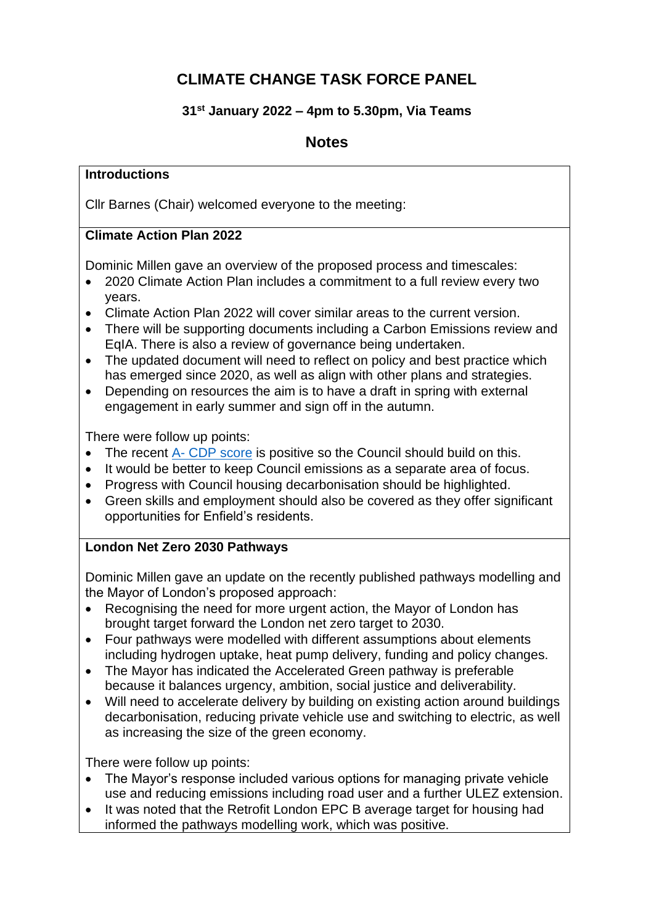# **CLIMATE CHANGE TASK FORCE PANEL**

## **31st January 2022 – 4pm to 5.30pm, Via Teams**

# **Notes**

#### **Introductions**

Cllr Barnes (Chair) welcomed everyone to the meeting:

## **Climate Action Plan 2022**

Dominic Millen gave an overview of the proposed process and timescales:

- 2020 Climate Action Plan includes a commitment to a full review every two years.
- Climate Action Plan 2022 will cover similar areas to the current version.
- There will be supporting documents including a Carbon Emissions review and EqIA. There is also a review of governance being undertaken.
- The updated document will need to reflect on policy and best practice which has emerged since 2020, as well as align with other plans and strategies.
- Depending on resources the aim is to have a draft in spring with external engagement in early summer and sign off in the autumn.

There were follow up points:

- The recent A- [CDP score](https://new.enfield.gov.uk/news-and-events/international-review-scores-councils-climate-actio/) is positive so the Council should build on this.
- It would be better to keep Council emissions as a separate area of focus.
- Progress with Council housing decarbonisation should be highlighted.
- Green skills and employment should also be covered as they offer significant opportunities for Enfield's residents.

## **London Net Zero 2030 Pathways**

Dominic Millen gave an update on the recently published pathways modelling and the Mayor of London's proposed approach:

- Recognising the need for more urgent action, the Mayor of London has brought target forward the London net zero target to 2030.
- Four pathways were modelled with different assumptions about elements including hydrogen uptake, heat pump delivery, funding and policy changes.
- The Mayor has indicated the Accelerated Green pathway is preferable because it balances urgency, ambition, social justice and deliverability.
- Will need to accelerate delivery by building on existing action around buildings decarbonisation, reducing private vehicle use and switching to electric, as well as increasing the size of the green economy.

There were follow up points:

- The Mayor's response included various options for managing private vehicle use and reducing emissions including road user and a further ULEZ extension.
- It was noted that the Retrofit London EPC B average target for housing had informed the pathways modelling work, which was positive.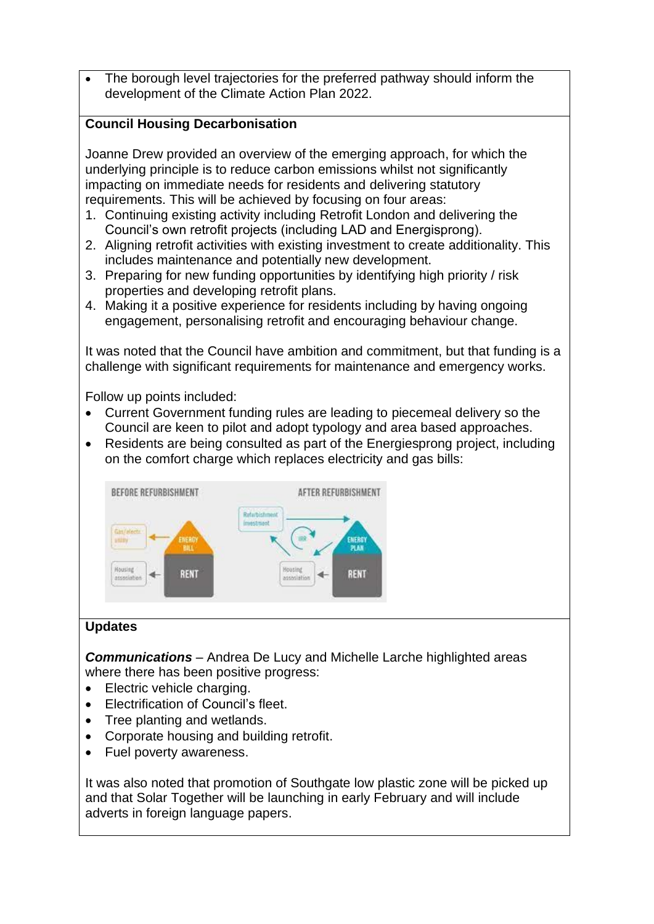The borough level trajectories for the preferred pathway should inform the development of the Climate Action Plan 2022.

#### **Council Housing Decarbonisation**

Joanne Drew provided an overview of the emerging approach, for which the underlying principle is to reduce carbon emissions whilst not significantly impacting on immediate needs for residents and delivering statutory requirements. This will be achieved by focusing on four areas:

- 1. Continuing existing activity including Retrofit London and delivering the Council's own retrofit projects (including LAD and Energisprong).
- 2. Aligning retrofit activities with existing investment to create additionality. This includes maintenance and potentially new development.
- 3. Preparing for new funding opportunities by identifying high priority / risk properties and developing retrofit plans.
- 4. Making it a positive experience for residents including by having ongoing engagement, personalising retrofit and encouraging behaviour change.

It was noted that the Council have ambition and commitment, but that funding is a challenge with significant requirements for maintenance and emergency works.

Follow up points included:

- Current Government funding rules are leading to piecemeal delivery so the Council are keen to pilot and adopt typology and area based approaches.
- Residents are being consulted as part of the Energiesprong project, including on the comfort charge which replaces electricity and gas bills:



## **Updates**

*Communications* – Andrea De Lucy and Michelle Larche highlighted areas where there has been positive progress:

- Electric vehicle charging.
- Electrification of Council's fleet.
- Tree planting and wetlands.
- Corporate housing and building retrofit.
- Fuel poverty awareness.

It was also noted that promotion of Southgate low plastic zone will be picked up and that Solar Together will be launching in early February and will include adverts in foreign language papers.